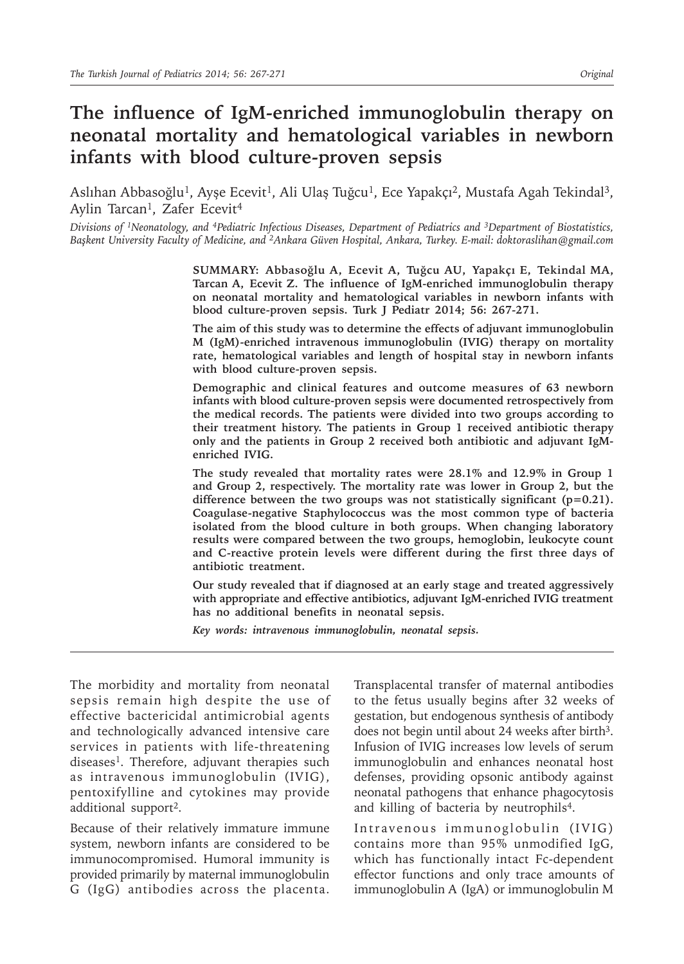# **The influence of IgM-enriched immunoglobulin therapy on neonatal mortality and hematological variables in newborn infants with blood culture-proven sepsis**

Aslıhan Abbasoğlu<sup>1</sup>, Ayşe Ecevit<sup>1</sup>, Ali Ulaş Tuğcu<sup>1</sup>, Ece Yapakçı<sup>2</sup>, Mustafa Agah Tekindal<sup>3</sup>, Aylin Tarcan<sup>1</sup>, Zafer Ecevit<sup>4</sup>

*Divisions of 1Neonatology, and <sup>4</sup>Pediatric Infectious Diseases, Department of Pediatrics and 3Department of Biostatistics, Başkent University Faculty of Medicine, and <sup>2</sup>Ankara Güven Hospital, Ankara, Turkey. E-mail: doktoraslihan@gmail.com*

> **SUMMARY: Abbasoğlu A, Ecevit A, Tuğcu AU, Yapakçı E, Tekindal MA, Tarcan A, Ecevit Z. The influence of IgM-enriched immunoglobulin therapy on neonatal mortality and hematological variables in newborn infants with blood culture-proven sepsis. Turk J Pediatr 2014; 56: 267-271.**

> **The aim of this study was to determine the effects of adjuvant immunoglobulin M (IgM)-enriched intravenous immunoglobulin (IVIG) therapy on mortality rate, hematological variables and length of hospital stay in newborn infants with blood culture-proven sepsis.**

> **Demographic and clinical features and outcome measures of 63 newborn infants with blood culture-proven sepsis were documented retrospectively from the medical records. The patients were divided into two groups according to their treatment history. The patients in Group 1 received antibiotic therapy only and the patients in Group 2 received both antibiotic and adjuvant IgMenriched IVIG.**

> **The study revealed that mortality rates were 28.1% and 12.9% in Group 1 and Group 2, respectively. The mortality rate was lower in Group 2, but the difference between the two groups was not statistically significant (p=0.21). Coagulase-negative Staphylococcus was the most common type of bacteria isolated from the blood culture in both groups. When changing laboratory results were compared between the two groups, hemoglobin, leukocyte count and C-reactive protein levels were different during the first three days of antibiotic treatment.**

> **Our study revealed that if diagnosed at an early stage and treated aggressively with appropriate and effective antibiotics, adjuvant IgM-enriched IVIG treatment has no additional benefits in neonatal sepsis.**

*Key words: intravenous immunoglobulin, neonatal sepsis.*

The morbidity and mortality from neonatal sepsis remain high despite the use of effective bactericidal antimicrobial agents and technologically advanced intensive care services in patients with life-threatening diseases<sup>1</sup>. Therefore, adjuvant therapies such as intravenous immunoglobulin (IVIG), pentoxifylline and cytokines may provide additional support<sup>2</sup>.

Because of their relatively immature immune system, newborn infants are considered to be immunocompromised. Humoral immunity is provided primarily by maternal immunoglobulin G (IgG) antibodies across the placenta.

Transplacental transfer of maternal antibodies to the fetus usually begins after 32 weeks of gestation, but endogenous synthesis of antibody does not begin until about 24 weeks after birth<sup>3</sup>. Infusion of IVIG increases low levels of serum immunoglobulin and enhances neonatal host defenses, providing opsonic antibody against neonatal pathogens that enhance phagocytosis and killing of bacteria by neutrophils<sup>4</sup>.

Intravenous immunoglobulin (IVIG) contains more than 95% unmodified IgG, which has functionally intact Fc-dependent effector functions and only trace amounts of immunoglobulin A (IgA) or immunoglobulin M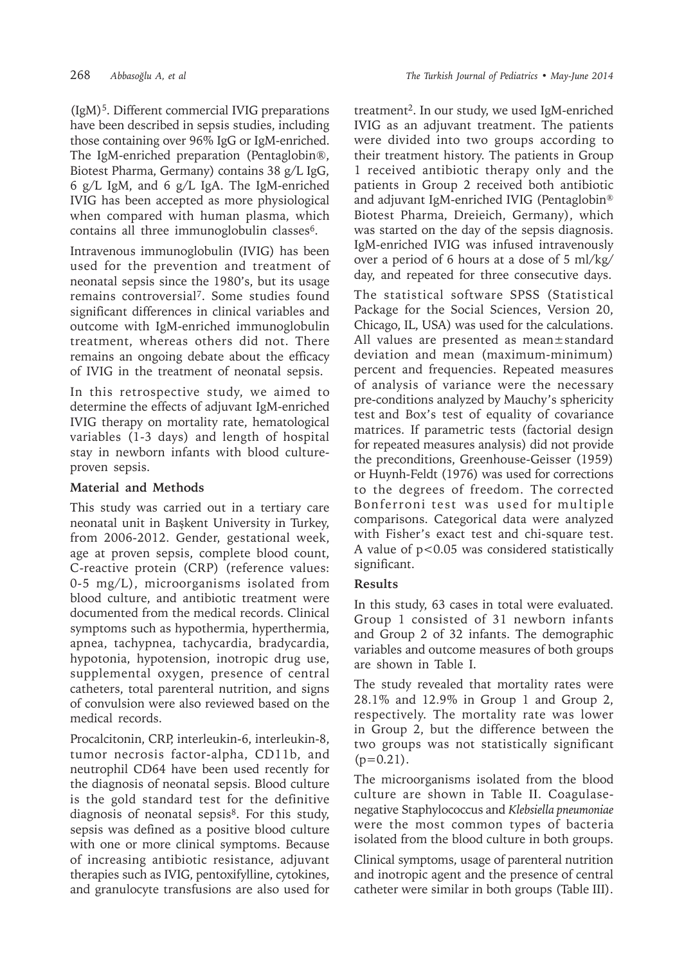(IgM)<sup>5</sup>. Different commercial IVIG preparations have been described in sepsis studies, including those containing over 96% IgG or IgM-enriched. The IgM-enriched preparation (Pentaglobin®, Biotest Pharma, Germany) contains 38 g/L IgG, 6 g/L IgM, and 6 g/L IgA. The IgM-enriched IVIG has been accepted as more physiological when compared with human plasma, which contains all three immunoglobulin classes<sup>6</sup>.

Intravenous immunoglobulin (IVIG) has been used for the prevention and treatment of neonatal sepsis since the 1980's, but its usage remains controversial<sup>7</sup>. Some studies found significant differences in clinical variables and outcome with IgM-enriched immunoglobulin treatment, whereas others did not. There remains an ongoing debate about the efficacy of IVIG in the treatment of neonatal sepsis.

In this retrospective study, we aimed to determine the effects of adjuvant IgM-enriched IVIG therapy on mortality rate, hematological variables (1-3 days) and length of hospital stay in newborn infants with blood cultureproven sepsis.

## **Material and Methods**

This study was carried out in a tertiary care neonatal unit in Başkent University in Turkey, from 2006-2012. Gender, gestational week, age at proven sepsis, complete blood count, C-reactive protein (CRP) (reference values: 0-5 mg/L), microorganisms isolated from blood culture, and antibiotic treatment were documented from the medical records. Clinical symptoms such as hypothermia, hyperthermia, apnea, tachypnea, tachycardia, bradycardia, hypotonia, hypotension, inotropic drug use, supplemental oxygen, presence of central catheters, total parenteral nutrition, and signs of convulsion were also reviewed based on the medical records.

Procalcitonin, CRP, interleukin-6, interleukin-8, tumor necrosis factor-alpha, CD11b, and neutrophil CD64 have been used recently for the diagnosis of neonatal sepsis. Blood culture is the gold standard test for the definitive diagnosis of neonatal sepsis8. For this study, sepsis was defined as a positive blood culture with one or more clinical symptoms. Because of increasing antibiotic resistance, adjuvant therapies such as IVIG, pentoxifylline, cytokines, and granulocyte transfusions are also used for treatment<sup>2</sup>. In our study, we used IgM-enriched IVIG as an adjuvant treatment. The patients were divided into two groups according to their treatment history. The patients in Group 1 received antibiotic therapy only and the patients in Group 2 received both antibiotic and adjuvant IgM-enriched IVIG (Pentaglobin® Biotest Pharma, Dreieich, Germany), which was started on the day of the sepsis diagnosis. IgM-enriched IVIG was infused intravenously over a period of 6 hours at a dose of 5 ml/kg/ day, and repeated for three consecutive days.

The statistical software SPSS (Statistical Package for the Social Sciences, Version 20, Chicago, IL, USA) was used for the calculations. All values are presented as mean±standard deviation and mean (maximum-minimum) percent and frequencies. Repeated measures of analysis of variance were the necessary pre-conditions analyzed by Mauchy's sphericity test and Box's test of equality of covariance matrices. If parametric tests (factorial design for repeated measures analysis) did not provide the preconditions, Greenhouse-Geisser (1959) or Huynh-Feldt (1976) was used for corrections to the degrees of freedom. The corrected Bonferroni test was used for multiple comparisons. Categorical data were analyzed with Fisher's exact test and chi-square test. A value of p<0.05 was considered statistically significant.

### **Results**

In this study, 63 cases in total were evaluated. Group 1 consisted of 31 newborn infants and Group 2 of 32 infants. The demographic variables and outcome measures of both groups are shown in Table I.

The study revealed that mortality rates were 28.1% and 12.9% in Group 1 and Group 2, respectively. The mortality rate was lower in Group 2, but the difference between the two groups was not statistically significant  $(p=0.21)$ .

The microorganisms isolated from the blood culture are shown in Table II. Coagulasenegative Staphylococcus and *Klebsiella pneumoniae*  were the most common types of bacteria isolated from the blood culture in both groups.

Clinical symptoms, usage of parenteral nutrition and inotropic agent and the presence of central catheter were similar in both groups (Table III).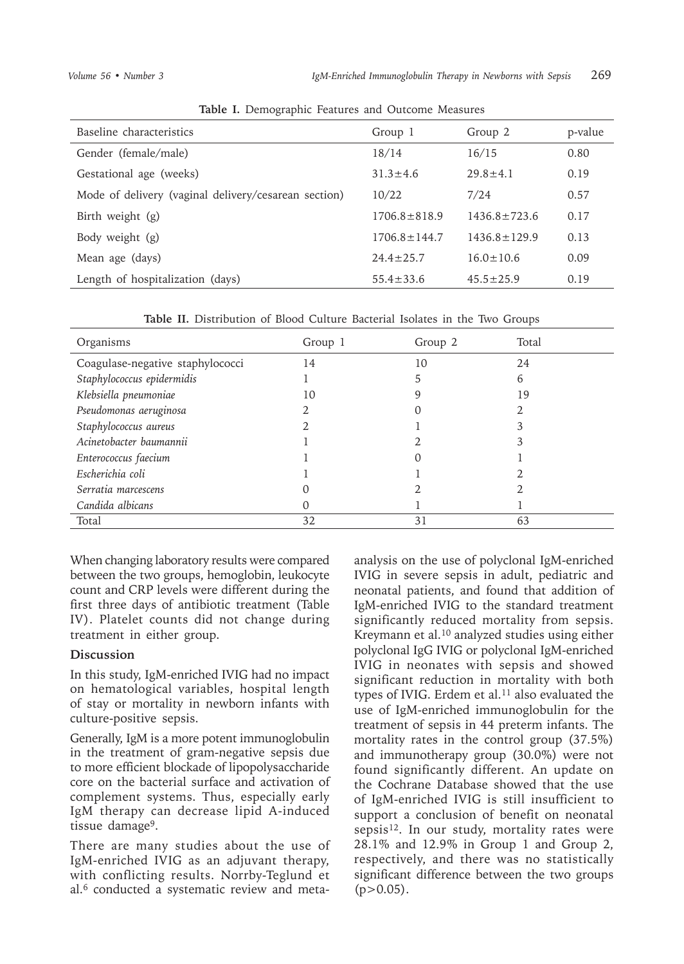| $\frac{1}{2}$                                        |                    |                  |         |  |  |  |  |
|------------------------------------------------------|--------------------|------------------|---------|--|--|--|--|
| Baseline characteristics                             | Group 1            | Group 2          | p-value |  |  |  |  |
| Gender (female/male)                                 | 18/14              | 16/15            | 0.80    |  |  |  |  |
| Gestational age (weeks)                              | $31.3 \pm 4.6$     | $29.8 + 4.1$     | 0.19    |  |  |  |  |
| Mode of delivery (vaginal delivery/cesarean section) | 10/22              | 7/24             | 0.57    |  |  |  |  |
| Birth weight (g)                                     | $1706.8 \pm 818.9$ | $1436.8 + 723.6$ | 0.17    |  |  |  |  |
| Body weight (g)                                      | $1706.8 + 144.7$   | $1436.8 + 129.9$ | 0.13    |  |  |  |  |
| Mean age (days)                                      | $24.4 \pm 25.7$    | $16.0 \pm 10.6$  | 0.09    |  |  |  |  |
| Length of hospitalization (days)                     | $55.4 \pm 33.6$    | $45.5 \pm 25.9$  | 0.19    |  |  |  |  |

**Table I.** Demographic Features and Outcome Measures

**Table II.** Distribution of Blood Culture Bacterial Isolates in the Two Groups

| Organisms                        | Group 1 | Group 2 | Total |
|----------------------------------|---------|---------|-------|
| Coagulase-negative staphylococci | 14      | 10      | 24    |
| Staphylococcus epidermidis       |         | ר       | 6     |
| Klebsiella pneumoniae            | 10      |         | 19    |
| Pseudomonas aeruginosa           |         |         |       |
| Staphylococcus aureus            |         |         |       |
| Acinetobacter baumannii          |         |         |       |
| Enterococcus faecium             |         |         |       |
| Escherichia coli                 |         |         |       |
| Serratia marcescens              |         |         |       |
| Candida albicans                 |         |         |       |
| Total                            | 32      | 31      | 63    |

When changing laboratory results were compared between the two groups, hemoglobin, leukocyte count and CRP levels were different during the first three days of antibiotic treatment (Table IV). Platelet counts did not change during treatment in either group.

### **Discussion**

In this study, IgM-enriched IVIG had no impact on hematological variables, hospital length of stay or mortality in newborn infants with culture-positive sepsis.

Generally, IgM is a more potent immunoglobulin in the treatment of gram-negative sepsis due to more efficient blockade of lipopolysaccharide core on the bacterial surface and activation of complement systems. Thus, especially early IgM therapy can decrease lipid A-induced tissue damage<sup>9</sup>.

There are many studies about the use of IgM-enriched IVIG as an adjuvant therapy, with conflicting results. Norrby-Teglund et al.6 conducted a systematic review and metaanalysis on the use of polyclonal IgM-enriched IVIG in severe sepsis in adult, pediatric and neonatal patients, and found that addition of IgM-enriched IVIG to the standard treatment significantly reduced mortality from sepsis. Kreymann et al.10 analyzed studies using either polyclonal IgG IVIG or polyclonal IgM-enriched IVIG in neonates with sepsis and showed significant reduction in mortality with both types of IVIG. Erdem et al. $^{11}$  also evaluated the use of IgM-enriched immunoglobulin for the treatment of sepsis in 44 preterm infants. The mortality rates in the control group (37.5%) and immunotherapy group (30.0%) were not found significantly different. An update on the Cochrane Database showed that the use of IgM-enriched IVIG is still insufficient to support a conclusion of benefit on neonatal sepsis<sup>12</sup>. In our study, mortality rates were 28.1% and 12.9% in Group 1 and Group 2, respectively, and there was no statistically significant difference between the two groups  $(p>0.05)$ .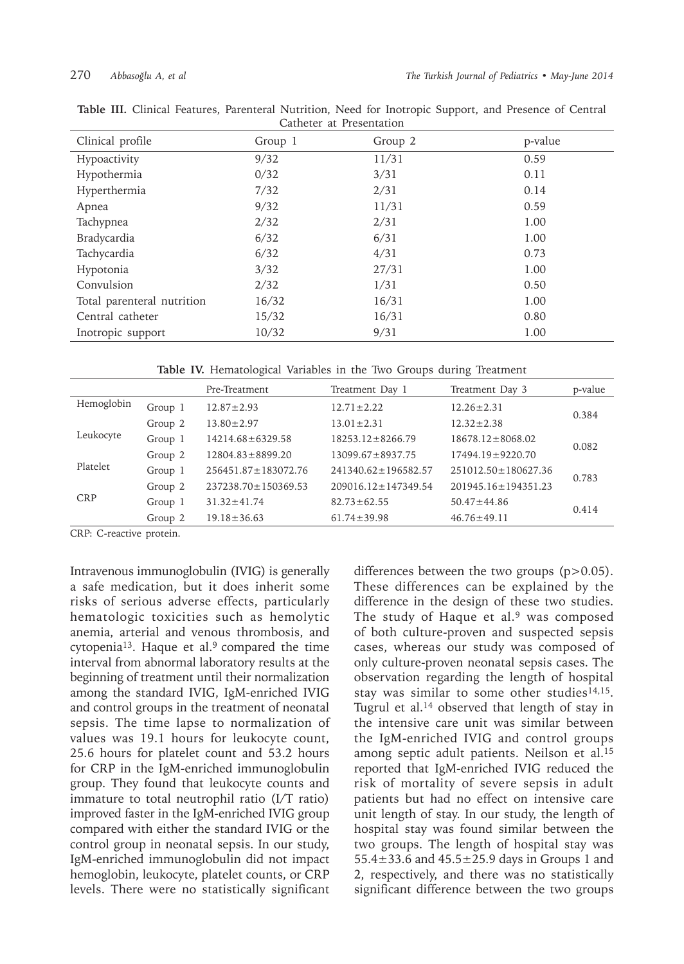| <u>Cathelen al Trebellianon</u> |         |         |         |  |  |  |
|---------------------------------|---------|---------|---------|--|--|--|
| Clinical profile                | Group 1 | Group 2 | p-value |  |  |  |
| Hypoactivity                    | 9/32    | 11/31   | 0.59    |  |  |  |
| Hypothermia                     | 0/32    | 3/31    | 0.11    |  |  |  |
| Hyperthermia                    | 7/32    | 2/31    | 0.14    |  |  |  |
| Apnea                           | 9/32    | 11/31   | 0.59    |  |  |  |
| Tachypnea                       | 2/32    | 2/31    | 1.00    |  |  |  |
| Bradycardia                     | 6/32    | 6/31    | 1.00    |  |  |  |
| Tachycardia                     | 6/32    | 4/31    | 0.73    |  |  |  |
| Hypotonia                       | 3/32    | 27/31   | 1.00    |  |  |  |
| Convulsion                      | 2/32    | 1/31    | 0.50    |  |  |  |
| Total parenteral nutrition      | 16/32   | 16/31   | 1.00    |  |  |  |
| Central catheter                | 15/32   | 16/31   | 0.80    |  |  |  |
| Inotropic support               | 10/32   | 9/31    | 1.00    |  |  |  |

|  | Table III. Clinical Features, Parenteral Nutrition, Need for Inotropic Support, and Presence of Central |                          |  |  |  |  |
|--|---------------------------------------------------------------------------------------------------------|--------------------------|--|--|--|--|
|  |                                                                                                         | Catheter at Presentation |  |  |  |  |

**Table IV.** Hematological Variables in the Two Groups during Treatment

|            |         | Pre-Treatment             | Treatment Day 1           | Treatment Day 3           | p-value |  |
|------------|---------|---------------------------|---------------------------|---------------------------|---------|--|
| Hemoglobin | Group 1 | $12.87 \pm 2.93$          | $12.71 \pm 2.22$          | $12.26 \pm 2.31$          | 0.384   |  |
| Group 2    |         | $13.80 \pm 2.97$          | $13.01 \pm 2.31$          | $12.32 \pm 2.38$          |         |  |
| Leukocyte  | Group 1 | $14214.68 \pm 6329.58$    | $18253.12 \pm 8266.79$    | $18678.12 \pm 8068.02$    |         |  |
|            | Group 2 | $12804.83 \pm 8899.20$    | $13099.67 \pm 8937.75$    | 17494.19±9220.70          | 0.082   |  |
| Platelet   | Group 1 | $256451.87 \pm 183072.76$ | $241340.62 \pm 196582.57$ | $251012.50 \pm 180627.36$ | 0.783   |  |
|            | Group 2 | $237238.70 \pm 150369.53$ | $209016.12 \pm 147349.54$ | $201945.16 \pm 194351.23$ |         |  |
| <b>CRP</b> | Group 1 | $31.32 \pm 41.74$         | $82.73 \pm 62.55$         | $50.47 \pm 44.86$         | 0.414   |  |
|            | Group 2 | $19.18 \pm 36.63$         | $61.74 \pm 39.98$         | $46.76 \pm 49.11$         |         |  |

CRP: C-reactive protein.

Intravenous immunoglobulin (IVIG) is generally a safe medication, but it does inherit some risks of serious adverse effects, particularly hematologic toxicities such as hemolytic anemia, arterial and venous thrombosis, and cytopenia<sup>13</sup>. Haque et al.<sup>9</sup> compared the time interval from abnormal laboratory results at the beginning of treatment until their normalization among the standard IVIG, IgM-enriched IVIG and control groups in the treatment of neonatal sepsis. The time lapse to normalization of values was 19.1 hours for leukocyte count, 25.6 hours for platelet count and 53.2 hours for CRP in the IgM-enriched immunoglobulin group. They found that leukocyte counts and immature to total neutrophil ratio (I/T ratio) improved faster in the IgM-enriched IVIG group compared with either the standard IVIG or the control group in neonatal sepsis. In our study, IgM-enriched immunoglobulin did not impact hemoglobin, leukocyte, platelet counts, or CRP levels. There were no statistically significant

differences between the two groups (p>0.05). These differences can be explained by the difference in the design of these two studies. The study of Haque et al.<sup>9</sup> was composed of both culture-proven and suspected sepsis cases, whereas our study was composed of only culture-proven neonatal sepsis cases. The observation regarding the length of hospital stay was similar to some other studies<sup>14,15</sup>. Tugrul et al. $14$  observed that length of stay in the intensive care unit was similar between the IgM-enriched IVIG and control groups among septic adult patients. Neilson et al.<sup>15</sup> reported that IgM-enriched IVIG reduced the risk of mortality of severe sepsis in adult patients but had no effect on intensive care unit length of stay. In our study, the length of hospital stay was found similar between the two groups. The length of hospital stay was 55.4±33.6 and 45.5±25.9 days in Groups 1 and 2, respectively, and there was no statistically significant difference between the two groups